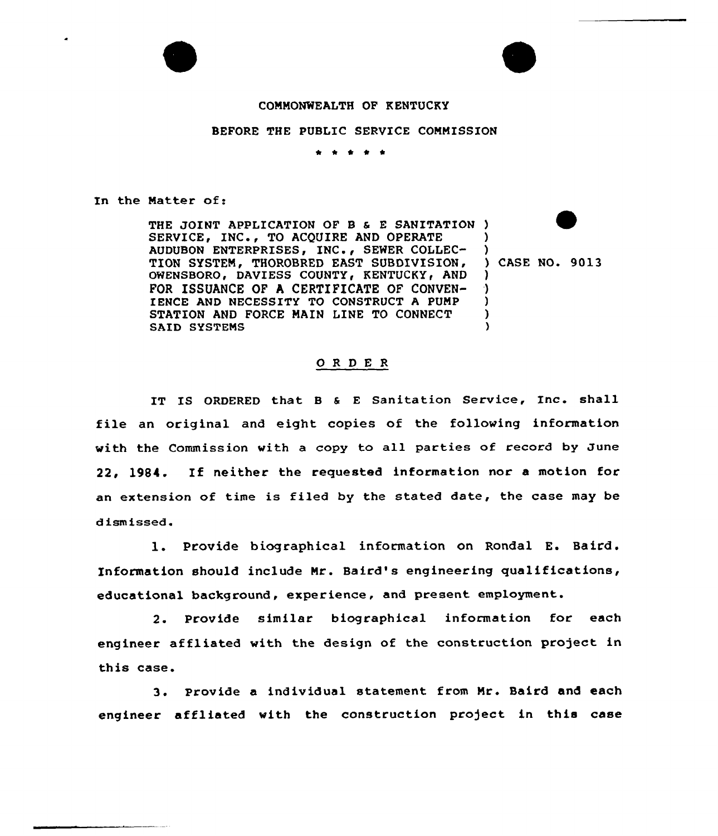

) )

) ) ) )

## CONMONWEALTH OF KENTUCKY

## BEFORE THE PUBLIC SERVICE COMMISSION

\* \*

In the Matter of:

THE JOINT APPLICATION OF B & E SANITATION ) SERVICE, INC., TO ACQUIRE AND OPERATE AUDUBON ENTERPRISES, INC., SEWER COLLEC-TION SYSTEM, THOROBRED EAST SUBDIVISION, OWENSBORO, DAVIESS COUNTY, KENTUCKY, AND FOR ISSUANCE OF A CERTIFICATE OF CONVEN-IENCE AND NECESSITY TO CONSTRUCT A PUNP STATION AND FORCE MAIN LINE TO CONNECT SAID SYSTENS )

<sup>3</sup> CASE NO. 90l3

## ORDER

IT IS ORDERED that B & E Sanitation Service, Inc. shall file an original and eight copies of the following information with the Commission with a copy to all parties of record by June 22, 1984. If neither the requested information nor <sup>a</sup> motion for an extension of time is filed by the stated date, the case may be dismissed.

1. Provide biographical information on Rondal E. Baird. Information should include Mr. Baird's engineering qualifications, educational background, experience, and present employment.

2. Provide similar biographical information for each engineer affliated with the design of the construction project in this case.

3. provide <sup>a</sup> individual statement from Nr. Baird and each engineer aff1iated with the construction project in this case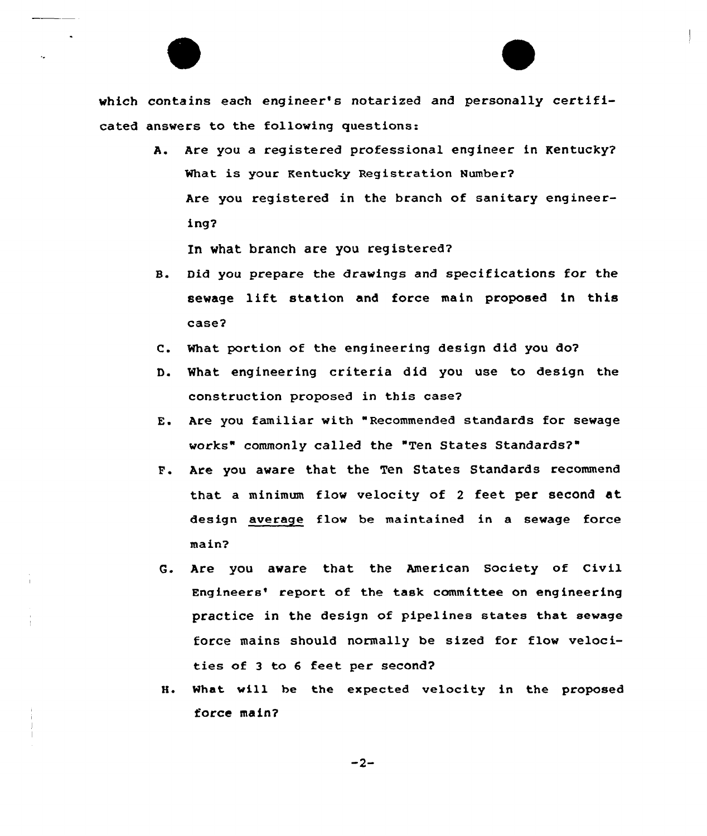which contains each engineer's notarized and personally certificated answers to the following questions:

> A. Are you a registered professional engineer in Kentucky? What is your Kentucky Registration Number? Are you registered in the branch of sanitary engineering2

In what branch are you registered?

- 8. Did you prepare the drawings and specifications for the sewage lift station and force main proposed in this case?
- C. What portion of the engineering design did you do?
- D. What engineering criteria did you use to design the construction proposed in this case2
- E. Are you familiar with "Recommended standards for sewage works" commonly called the "Ten States Standards?"
- F. Are you aware that the Ten States Standards recommend that a minimum flow velocity of <sup>2</sup> feet per second at design average flow be maintained in a sewage force main?
- G. Are you aware that the American Society of Civil Engineers' report of the task committee on engineering practice in the design of pipelines states that sewage force mains should normally be sized for flow velocities of <sup>3</sup> to <sup>6</sup> feet per second?
- 8. What will be the expected velocity in the proposed force main?

 $-2-$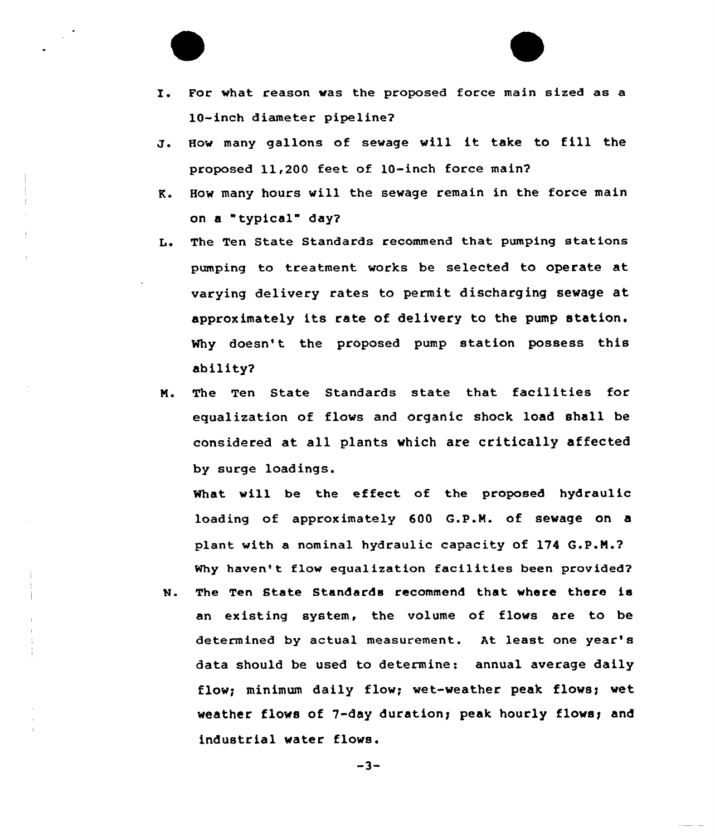

- J. How many gallons of sewage will it take to fill the proposed 11,200 feet of 10-inch force main?
- K. How many hours vill the sewage remain in the force main on a "typical" day?
- L. The Ten State Standards recommend that pumping stations pumping to treatment works be selected to operate at varying delivery rates to permit discharging sevage at approximately its rate of delivery to the pump station. Why doesn't the proposed pump station possess this ability?
- N. The Ten State Standards state that facilities for equalization of flovs and organic shock load shall be considered at all plants which are critically affected by surge loadings.

What will be the effect of the proposed hydrau1ic loading of approximately 600 G.P.N. of sewage on a plant with a nominal hydraulic capacity of 174 Q.P.N.? Why haven't flow equalization facilities been provided?

N. The Ten State Standards recommend that where there is an existing system, the volume of flows are to be determined by actual measurement. At least one year'8 data should be used to determine: annual average daily flow; minimum daily flow; wet-weather peak flows; wet weather flows of 7-day duration; peak hourly flows; and industrial water flows.

 $-3-$